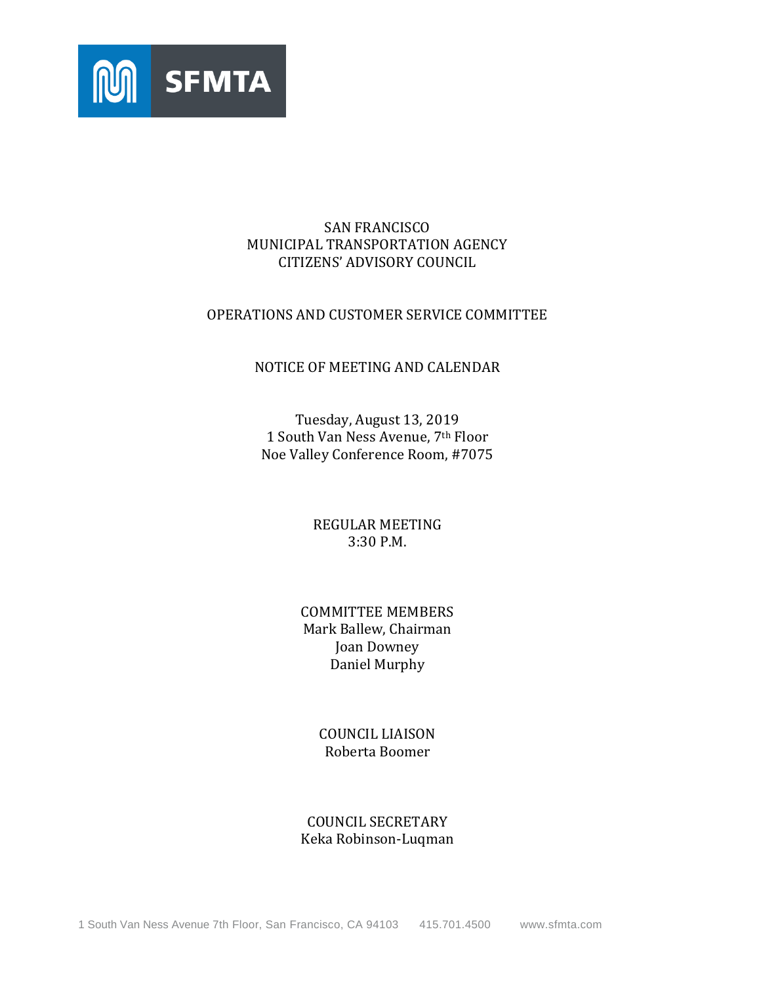

## SAN FRANCISCO MUNICIPAL TRANSPORTATION AGENCY CITIZENS' ADVISORY COUNCIL

## OPERATIONS AND CUSTOMER SERVICE COMMITTEE

### NOTICE OF MEETING AND CALENDAR

Tuesday, August 13, 2019 1 South Van Ness Avenue, 7th Floor Noe Valley Conference Room, #7075

> REGULAR MEETING 3:30 P.M.

## COMMITTEE MEMBERS Mark Ballew, Chairman Joan Downey Daniel Murphy

## COUNCIL LIAISON Roberta Boomer

## COUNCIL SECRETARY Keka Robinson-Luqman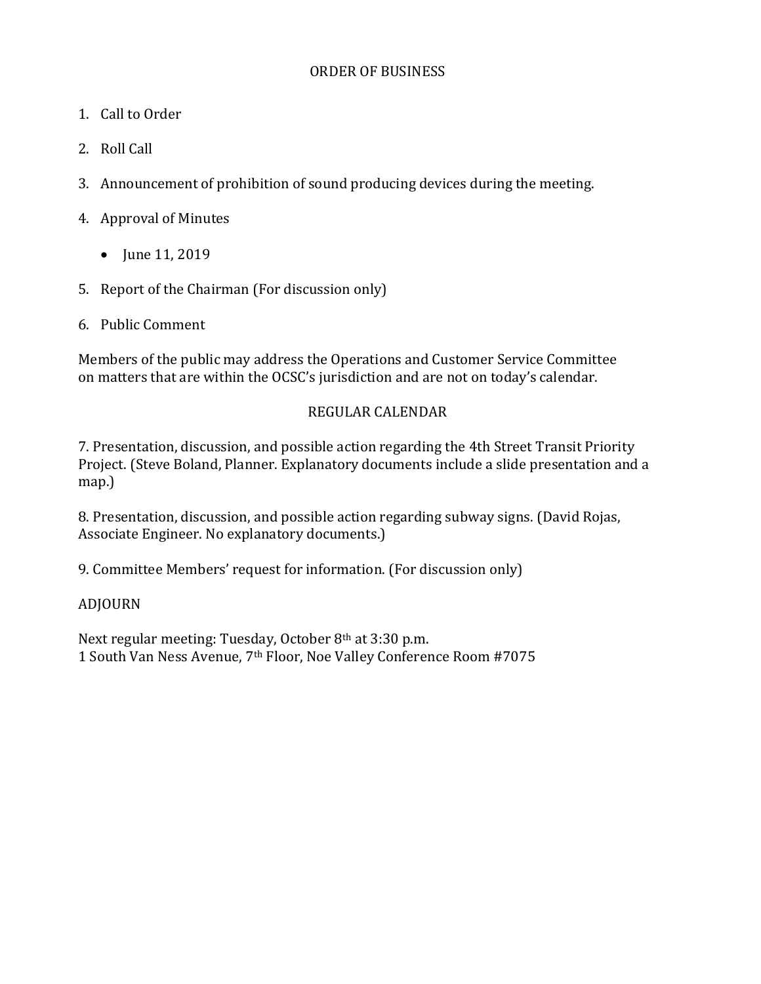- 1. Call to Order
- 2. Roll Call
- 3. Announcement of prohibition of sound producing devices during the meeting.
- 4. Approval of Minutes
	- $\bullet$  June 11, 2019
- 5. Report of the Chairman (For discussion only)
- 6. Public Comment

Members of the public may address the Operations and Customer Service Committee on matters that are within the OCSC's jurisdiction and are not on today's calendar.

# REGULAR CALENDAR

7. Presentation, discussion, and possible action regarding the 4th Street Transit Priority Project. (Steve Boland, Planner. Explanatory documents include a slide presentation and a map.)

8. Presentation, discussion, and possible action regarding subway signs. (David Rojas, Associate Engineer. No explanatory documents.)

9. Committee Members' request for information. (For discussion only)

# ADJOURN

Next regular meeting: Tuesday, October 8th at 3:30 p.m. 1 South Van Ness Avenue, 7th Floor, Noe Valley Conference Room #7075